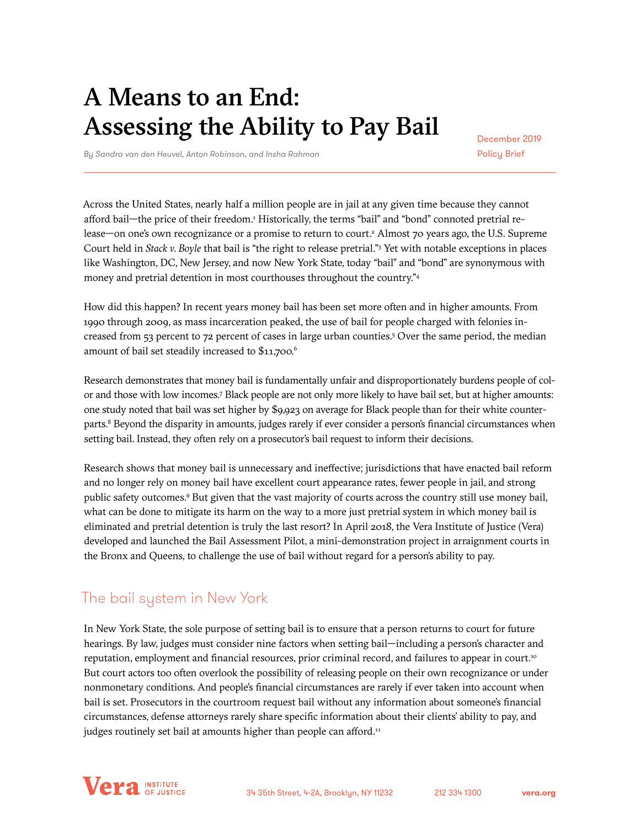# A Means to an End: Assessing the Ability to Pay Bail

December 2019 Policy Brief

*By Sandra van den Heuvel, Anton Robinson, and Insha Rahman*

Across the United States, nearly half a million people are in jail at any given time because they cannot afford bail—the price of their freedom.<sup>1</sup> Historically, the terms "bail" and "bond" connoted pretrial release—on one's own recognizance or a promise to return to court.<sup>2</sup> Almost 70 years ago, the U.S. Supreme Court held in *Stack v. Boyle* that bail is "the right to release pretrial."<sup>3</sup> Yet with notable exceptions in places like Washington, DC, New Jersey, and now New York State, today "bail" and "bond" are synonymous with money and pretrial detention in most courthouses throughout the country."4

How did this happen? In recent years money bail has been set more often and in higher amounts. From 1990 through 2009, as mass incarceration peaked, the use of bail for people charged with felonies increased from 53 percent to 72 percent of cases in large urban counties.5 Over the same period, the median amount of bail set steadily increased to \$11,700.<sup>6</sup>

Research demonstrates that money bail is fundamentally unfair and disproportionately burdens people of color and those with low incomes.7 Black people are not only more likely to have bail set, but at higher amounts: one study noted that bail was set higher by \$9,923 on average for Black people than for their white counterparts.<sup>8</sup> Beyond the disparity in amounts, judges rarely if ever consider a person's financial circumstances when setting bail. Instead, they often rely on a prosecutor's bail request to inform their decisions.

Research shows that money bail is unnecessary and ineffective; jurisdictions that have enacted bail reform and no longer rely on money bail have excellent court appearance rates, fewer people in jail, and strong public safety outcomes.9 But given that the vast majority of courts across the country still use money bail, what can be done to mitigate its harm on the way to a more just pretrial system in which money bail is eliminated and pretrial detention is truly the last resort? In April 2018, the Vera Institute of Justice (Vera) developed and launched the Bail Assessment Pilot, a mini-demonstration project in arraignment courts in the Bronx and Queens, to challenge the use of bail without regard for a person's ability to pay.

# The bail system in New York

In New York State, the sole purpose of setting bail is to ensure that a person returns to court for future hearings. By law, judges must consider nine factors when setting bail—including a person's character and reputation, employment and financial resources, prior criminal record, and failures to appear in court.<sup>10</sup> But court actors too often overlook the possibility of releasing people on their own recognizance or under nonmonetary conditions. And people's financial circumstances are rarely if ever taken into account when bail is set. Prosecutors in the courtroom request bail without any information about someone's financial circumstances, defense attorneys rarely share specific information about their clients' ability to pay, and judges routinely set bail at amounts higher than people can afford.<sup>11</sup>

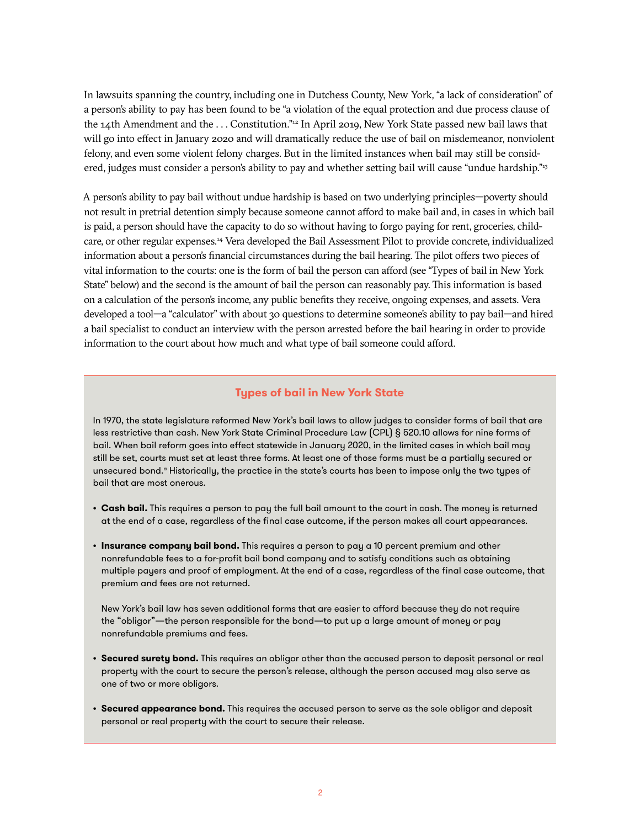In lawsuits spanning the country, including one in Dutchess County, New York, "a lack of consideration" of a person's ability to pay has been found to be "a violation of the equal protection and due process clause of the 14th Amendment and the ... Constitution."<sup>12</sup> In April 2019, New York State passed new bail laws that will go into effect in January 2020 and will dramatically reduce the use of bail on misdemeanor, nonviolent felony, and even some violent felony charges. But in the limited instances when bail may still be considered, judges must consider a person's ability to pay and whether setting bail will cause "undue hardship."13

A person's ability to pay bail without undue hardship is based on two underlying principles—poverty should not result in pretrial detention simply because someone cannot afford to make bail and, in cases in which bail is paid, a person should have the capacity to do so without having to forgo paying for rent, groceries, childcare, or other regular expenses.14 Vera developed the Bail Assessment Pilot to provide concrete, individualized information about a person's financial circumstances during the bail hearing. The pilot offers two pieces of vital information to the courts: one is the form of bail the person can afford (see "Types of bail in New York State" below) and the second is the amount of bail the person can reasonably pay. This information is based on a calculation of the person's income, any public benefits they receive, ongoing expenses, and assets. Vera developed a tool—a "calculator" with about 30 questions to determine someone's ability to pay bail—and hired a bail specialist to conduct an interview with the person arrested before the bail hearing in order to provide information to the court about how much and what type of bail someone could afford.

### **Types of bail in New York State**

In 1970, the state legislature reformed New York's bail laws to allow judges to consider forms of bail that are less restrictive than cash. New York State Criminal Procedure Law (CPL) § 520.10 allows for nine forms of bail. When bail reform goes into effect statewide in January 2020, in the limited cases in which bail may still be set, courts must set at least three forms. At least one of those forms must be a partially secured or unsecured bond.<sup>a</sup> Historically, the practice in the state's courts has been to impose only the two types of bail that are most onerous.

- **• Cash bail.** This requires a person to pay the full bail amount to the court in cash. The money is returned at the end of a case, regardless of the final case outcome, if the person makes all court appearances.
- **• Insurance company bail bond.** This requires a person to pay a 10 percent premium and other nonrefundable fees to a for-profit bail bond company and to satisfy conditions such as obtaining multiple payers and proof of employment. At the end of a case, regardless of the final case outcome, that premium and fees are not returned.

New York's bail law has seven additional forms that are easier to afford because they do not require the "obligor"—the person responsible for the bond—to put up a large amount of money or pay nonrefundable premiums and fees.

- **• Secured surety bond.** This requires an obligor other than the accused person to deposit personal or real property with the court to secure the person's release, although the person accused may also serve as one of two or more obligors.
- **• Secured appearance bond.** This requires the accused person to serve as the sole obligor and deposit personal or real property with the court to secure their release.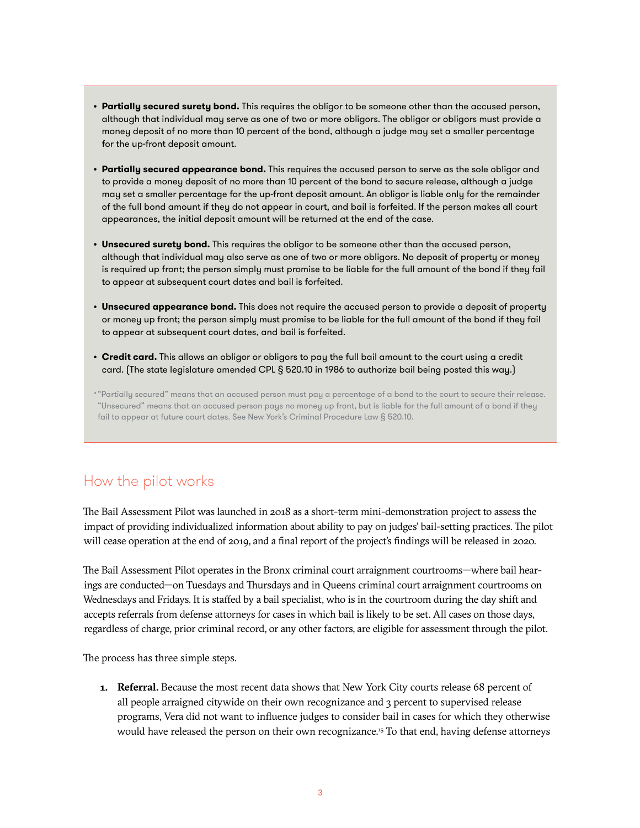- **• Partially secured surety bond.** This requires the obligor to be someone other than the accused person, although that individual may serve as one of two or more obligors. The obligor or obligors must provide a money deposit of no more than 10 percent of the bond, although a judge may set a smaller percentage for the up-front deposit amount.
- **• Partially secured appearance bond.** This requires the accused person to serve as the sole obligor and to provide a money deposit of no more than 10 percent of the bond to secure release, although a judge may set a smaller percentage for the up-front deposit amount. An obligor is liable only for the remainder of the full bond amount if they do not appear in court, and bail is forfeited. If the person makes all court appearances, the initial deposit amount will be returned at the end of the case.
- **• Unsecured surety bond.** This requires the obligor to be someone other than the accused person, although that individual may also serve as one of two or more obligors. No deposit of property or money is required up front; the person simply must promise to be liable for the full amount of the bond if they fail to appear at subsequent court dates and bail is forfeited.
- **• Unsecured appearance bond.** This does not require the accused person to provide a deposit of property or money up front; the person simply must promise to be liable for the full amount of the bond if they fail to appear at subsequent court dates, and bail is forfeited.
- **• Credit card.** This allows an obligor or obligors to pay the full bail amount to the court using a credit card. (The state legislature amended CPL § 520.10 in 1986 to authorize bail being posted this way.)

a "Partially secured" means that an accused person must pay a percentage of a bond to the court to secure their release. "Unsecured" means that an accused person pays no money up front, but is liable for the full amount of a bond if they fail to appear at future court dates. See New York's Criminal Procedure Law § 520.10.

## How the pilot works

The Bail Assessment Pilot was launched in 2018 as a short-term mini-demonstration project to assess the impact of providing individualized information about ability to pay on judges' bail-setting practices. The pilot will cease operation at the end of 2019, and a final report of the project's findings will be released in 2020.

The Bail Assessment Pilot operates in the Bronx criminal court arraignment courtrooms—where bail hearings are conducted—on Tuesdays and Thursdays and in Queens criminal court arraignment courtrooms on Wednesdays and Fridays. It is staffed by a bail specialist, who is in the courtroom during the day shift and accepts referrals from defense attorneys for cases in which bail is likely to be set. All cases on those days, regardless of charge, prior criminal record, or any other factors, are eligible for assessment through the pilot.

The process has three simple steps.

**1. Referral.** Because the most recent data shows that New York City courts release 68 percent of all people arraigned citywide on their own recognizance and 3 percent to supervised release programs, Vera did not want to influence judges to consider bail in cases for which they otherwise would have released the person on their own recognizance.15 To that end, having defense attorneys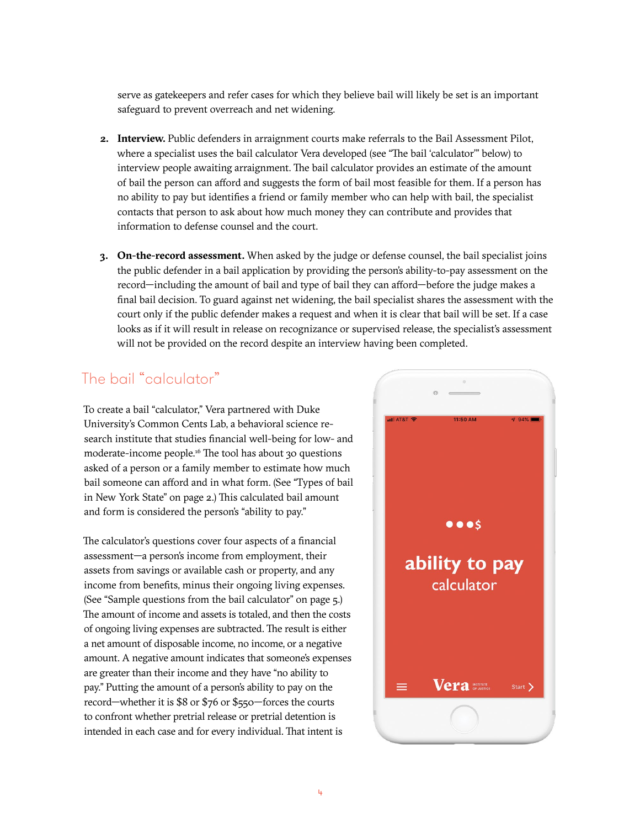serve as gatekeepers and refer cases for which they believe bail will likely be set is an important safeguard to prevent overreach and net widening.

- **2. Interview.** Public defenders in arraignment courts make referrals to the Bail Assessment Pilot, where a specialist uses the bail calculator Vera developed (see "The bail 'calculator'" below) to interview people awaiting arraignment. The bail calculator provides an estimate of the amount of bail the person can afford and suggests the form of bail most feasible for them. If a person has no ability to pay but identifies a friend or family member who can help with bail, the specialist contacts that person to ask about how much money they can contribute and provides that information to defense counsel and the court.
- **3. On-the-record assessment.** When asked by the judge or defense counsel, the bail specialist joins the public defender in a bail application by providing the person's ability-to-pay assessment on the record—including the amount of bail and type of bail they can afford—before the judge makes a final bail decision. To guard against net widening, the bail specialist shares the assessment with the court only if the public defender makes a request and when it is clear that bail will be set. If a case looks as if it will result in release on recognizance or supervised release, the specialist's assessment will not be provided on the record despite an interview having been completed.

# The bail "calculator"

To create a bail "calculator," Vera partnered with Duke University's Common Cents Lab, a behavioral science research institute that studies financial well-being for low- and moderate-income people.16 The tool has about 30 questions asked of a person or a family member to estimate how much bail someone can afford and in what form. (See "Types of bail in New York State" on page 2.) This calculated bail amount and form is considered the person's "ability to pay."

The calculator's questions cover four aspects of a financial assessment—a person's income from employment, their assets from savings or available cash or property, and any income from benefits, minus their ongoing living expenses. (See "Sample questions from the bail calculator" on page 5.) The amount of income and assets is totaled, and then the costs of ongoing living expenses are subtracted. The result is either a net amount of disposable income, no income, or a negative amount. A negative amount indicates that someone's expenses are greater than their income and they have "no ability to pay." Putting the amount of a person's ability to pay on the record—whether it is \$8 or \$76 or \$550—forces the courts to confront whether pretrial release or pretrial detention is intended in each case and for every individual. That intent is

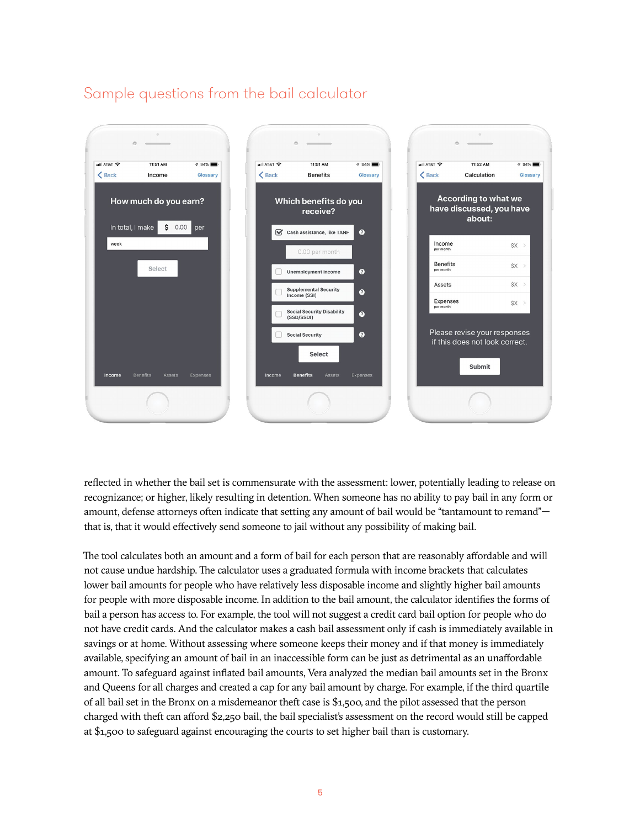### Sample questions from the bail calculator



reflected in whether the bail set is commensurate with the assessment: lower, potentially leading to release on recognizance; or higher, likely resulting in detention. When someone has no ability to pay bail in any form or amount, defense attorneys often indicate that setting any amount of bail would be "tantamount to remand" that is, that it would effectively send someone to jail without any possibility of making bail.

The tool calculates both an amount and a form of bail for each person that are reasonably affordable and will not cause undue hardship. The calculator uses a graduated formula with income brackets that calculates lower bail amounts for people who have relatively less disposable income and slightly higher bail amounts for people with more disposable income. In addition to the bail amount, the calculator identifies the forms of bail a person has access to. For example, the tool will not suggest a credit card bail option for people who do not have credit cards. And the calculator makes a cash bail assessment only if cash is immediately available in savings or at home. Without assessing where someone keeps their money and if that money is immediately available, specifying an amount of bail in an inaccessible form can be just as detrimental as an unaffordable amount. To safeguard against inflated bail amounts, Vera analyzed the median bail amounts set in the Bronx and Queens for all charges and created a cap for any bail amount by charge. For example, if the third quartile of all bail set in the Bronx on a misdemeanor theft case is \$1,500, and the pilot assessed that the person charged with theft can afford \$2,250 bail, the bail specialist's assessment on the record would still be capped at \$1,500 to safeguard against encouraging the courts to set higher bail than is customary.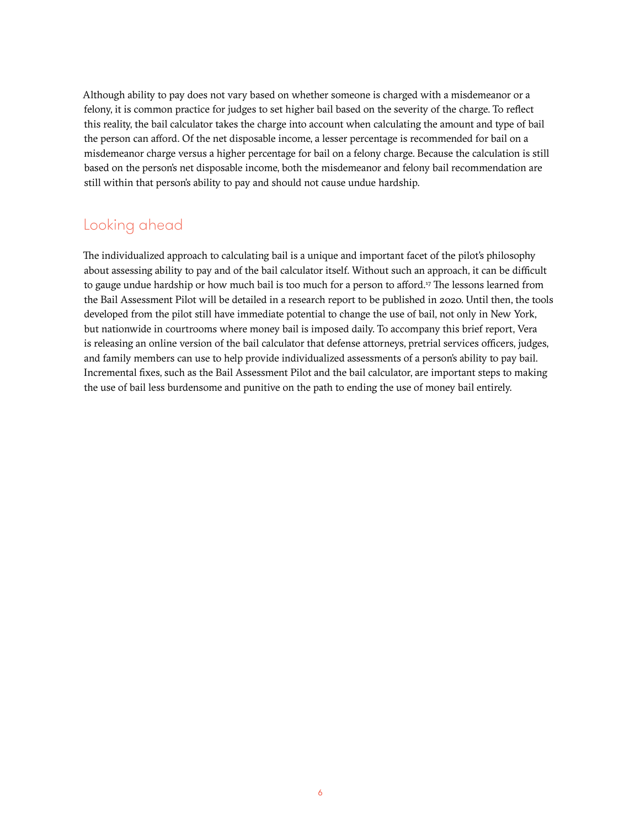Although ability to pay does not vary based on whether someone is charged with a misdemeanor or a felony, it is common practice for judges to set higher bail based on the severity of the charge. To reflect this reality, the bail calculator takes the charge into account when calculating the amount and type of bail the person can afford. Of the net disposable income, a lesser percentage is recommended for bail on a misdemeanor charge versus a higher percentage for bail on a felony charge. Because the calculation is still based on the person's net disposable income, both the misdemeanor and felony bail recommendation are still within that person's ability to pay and should not cause undue hardship.

### Looking ahead

The individualized approach to calculating bail is a unique and important facet of the pilot's philosophy about assessing ability to pay and of the bail calculator itself. Without such an approach, it can be difficult to gauge undue hardship or how much bail is too much for a person to afford.17 The lessons learned from the Bail Assessment Pilot will be detailed in a research report to be published in 2020. Until then, the tools developed from the pilot still have immediate potential to change the use of bail, not only in New York, but nationwide in courtrooms where money bail is imposed daily. To accompany this brief report, Vera is releasing an online version of the bail calculator that defense attorneys, pretrial services officers, judges, and family members can use to help provide individualized assessments of a person's ability to pay bail. Incremental fixes, such as the Bail Assessment Pilot and the bail calculator, are important steps to making the use of bail less burdensome and punitive on the path to ending the use of money bail entirely.